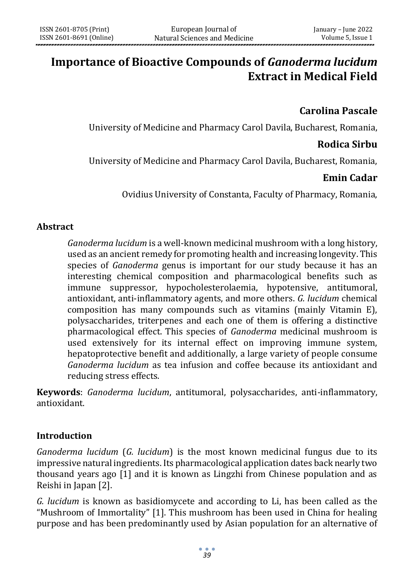# **Importance of Bioactive Compounds of** *Ganoderma lucidum* **Extract in Medical Field**

## **Carolina Pascale**

University of Medicine and Pharmacy Carol Davila, Bucharest, Romania,

## **Rodica Sirbu**

University of Medicine and Pharmacy Carol Davila, Bucharest, Romania,

## **Emin Cadar**

Ovidius University of Constanta, Faculty of Pharmacy, Romania,

## **Abstract**

*Ganoderma lucidum* is a well-known medicinal mushroom with a long history, used as an ancient remedy for promoting health and increasing longevity. This species of *Ganoderma* genus is important for our study because it has an interesting chemical composition and pharmacological benefits such as immune suppressor, hypocholesterolaemia, hypotensive, antitumoral, antioxidant, anti-inflammatory agents, and more others. *G. lucidum* chemical composition has many compounds such as vitamins (mainly Vitamin E), polysaccharides, triterpenes and each one of them is offering a distinctive pharmacological effect. This species of *Ganoderma* medicinal mushroom is used extensively for its internal effect on improving immune system, hepatoprotective benefit and additionally, a large variety of people consume *Ganoderma lucidum* as tea infusion and coffee because its antioxidant and reducing stress effects.

**Keywords**: *Ganoderma lucidum*, antitumoral, polysaccharides, anti-inflammatory, antioxidant.

## **Introduction**

*Ganoderma lucidum* (*G. lucidum*) is the most known medicinal fungus due to its impressive natural ingredients. Its pharmacological application dates back nearly two thousand years ago [1] and it is known as Lingzhi from Chinese population and as Reishi in Japan [2].

*G. lucidum* is known as basidiomycete and according to Li, has been called as the "Mushroom of Immortality" [1]. This mushroom has been used in China for healing purpose and has been predominantly used by Asian population for an alternative of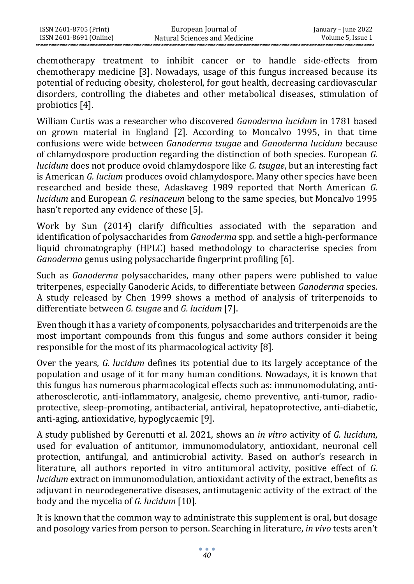chemotherapy treatment to inhibit cancer or to handle side-effects from chemotherapy medicine [3]. Nowadays, usage of this fungus increased because its potential of reducing obesity, cholesterol, for gout health, decreasing cardiovascular disorders, controlling the diabetes and other metabolical diseases, stimulation of probiotics [4].

William Curtis was a researcher who discovered *Ganoderma lucidum* in 1781 based on grown material in England [2]. According to Moncalvo 1995, in that time confusions were wide between *Ganoderma tsugae* and *Ganoderma lucidum* because of chlamydospore production regarding the distinction of both species. European *G. lucidum* does not produce ovoid chlamydospore like *G. tsugae*, but an interesting fact is American *G. lucium* produces ovoid chlamydospore. Many other species have been researched and beside these, Adaskaveg 1989 reported that North American *G. lucidum* and European *G. resinaceum* belong to the same species, but Moncalvo 1995 hasn't reported any evidence of these [5].

Work by Sun (2014) clarify difficulties associated with the separation and identification of polysaccharides from *Ganoderma* spp. and settle a high-performance liquid chromatography (HPLC) based methodology to characterise species from *Ganoderma* genus using polysaccharide fingerprint profiling [6].

Such as *Ganoderma* polysaccharides, many other papers were published to value triterpenes, especially Ganoderic Acids, to differentiate between *Ganoderma* species. A study released by Chen 1999 shows a method of analysis of triterpenoids to differentiate between *G. tsugae* and *G. lucidum* [7].

Even though it has a variety of components, polysaccharides and triterpenoids are the most important compounds from this fungus and some authors consider it being responsible for the most of its pharmacological activity [8].

Over the years, *G. lucidum* defines its potential due to its largely acceptance of the population and usage of it for many human conditions. Nowadays, it is known that this fungus has numerous pharmacological effects such as: immunomodulating, antiatherosclerotic, anti-inflammatory, analgesic, chemo preventive, anti-tumor, radioprotective, sleep-promoting, antibacterial, antiviral, hepatoprotective, anti-diabetic, anti-aging, antioxidative, hypoglycaemic [9].

A study published by Gerenutti et al. 2021, shows an *in vitro* activity of *G. lucidum*, used for evaluation of antitumor, immunomodulatory, antioxidant, neuronal cell protection, antifungal, and antimicrobial activity. Based on author's research in literature, all authors reported in vitro antitumoral activity, positive effect of *G. lucidum* extract on immunomodulation, antioxidant activity of the extract, benefits as adjuvant in neurodegenerative diseases, antimutagenic activity of the extract of the body and the mycelia of *G. lucidum* [10].

It is known that the common way to administrate this supplement is oral, but dosage and posology varies from person to person. Searching in literature, *in vivo* tests aren't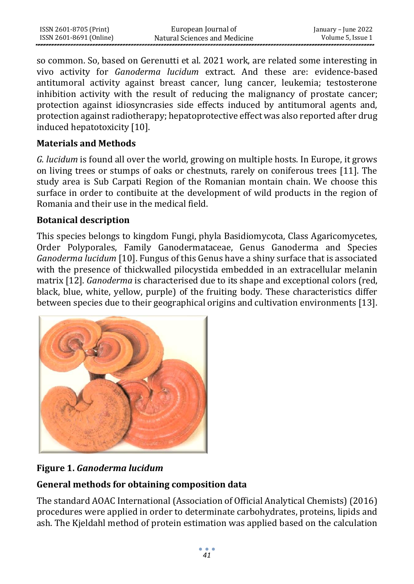| ISSN 2601-8705 (Print)  | European Journal of           | January – June 2022 |
|-------------------------|-------------------------------|---------------------|
| ISSN 2601-8691 (Online) | Natural Sciences and Medicine | Volume 5, Issue 1   |

so common. So, based on Gerenutti et al. 2021 work, are related some interesting in vivo activity for *Ganoderma lucidum* extract. And these are: evidence-based antitumoral activity against breast cancer, lung cancer, leukemia; testosterone inhibition activity with the result of reducing the malignancy of prostate cancer; protection against idiosyncrasies side effects induced by antitumoral agents and, protection against radiotherapy; hepatoprotective effect was also reported after drug induced hepatotoxicity [10].

## **Materials and Methods**

*G. lucidum* is found all over the world, growing on multiple hosts. In Europe, it grows on living trees or stumps of oaks or chestnuts, rarely on coniferous trees [11]. The study area is Sub Carpati Region of the Romanian montain chain. We choose this surface in order to contibuite at the development of wild products in the region of Romania and their use in the medical field.

## **Botanical description**

This species belongs to kingdom Fungi, phyla Basidiomycota, Class Agaricomycetes, Order Polyporales, Family Ganodermataceae, Genus Ganoderma and Species *Ganoderma lucidum* [10]. Fungus of this Genus have a shiny surface that is associated with the presence of thickwalled pilocystida embedded in an extracellular melanin matrix [12]. *Ganoderma* is characterised due to its shape and exceptional colors (red, black, blue, white, yellow, purple) of the fruiting body. These characteristics differ between species due to their geographical origins and cultivation environments [13].



## **Figure 1.** *Ganoderma lucidum*

# **General methods for obtaining composition data**

The standard AOAC International (Association of Official Analytical Chemists) (2016) procedures were applied in order to determinate carbohydrates, proteins, lipids and ash. The Kjeldahl method of protein estimation was applied based on the calculation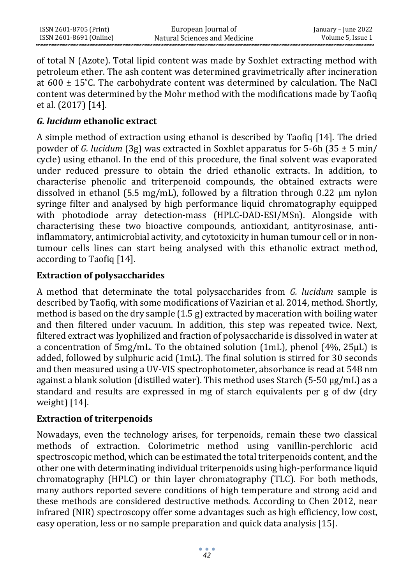| ISSN 2601-8705 (Print)  | European Journal of           | January – June 2022 |
|-------------------------|-------------------------------|---------------------|
| ISSN 2601-8691 (Online) | Natural Sciences and Medicine | Volume 5, Issue 1   |

of total N (Azote). Total lipid content was made by Soxhlet extracting method with petroleum ether. The ash content was determined gravimetrically after incineration at  $600 \pm 15^{\circ}$ C. The carbohydrate content was determined by calculation. The NaCl content was determined by the Mohr method with the modifications made by Taofiq et al. (2017) [14].

## *G. lucidum* **ethanolic extract**

A simple method of extraction using ethanol is described by Taofiq [14]. The dried powder of *G. lucidum* (3g) was extracted in Soxhlet apparatus for 5-6h (35 ± 5 min/ cycle) using ethanol. In the end of this procedure, the final solvent was evaporated under reduced pressure to obtain the dried ethanolic extracts. In addition, to characterise phenolic and triterpenoid compounds, the obtained extracts were dissolved in ethanol (5.5 mg/mL), followed by a filtration through 0.22  $\mu$ m nylon syringe filter and analysed by high performance liquid chromatography equipped with photodiode array detection-mass (HPLC-DAD-ESI/MSn). Alongside with characterising these two bioactive compounds, antioxidant, antityrosinase, antiinflammatory, antimicrobial activity, and cytotoxicity in human tumour cell or in nontumour cells lines can start being analysed with this ethanolic extract method, according to Taofiq [14].

## **Extraction of polysaccharides**

A method that determinate the total polysaccharides from *G. lucidum* sample is described by Taofiq, with some modifications of Vazirian et al. 2014, method. Shortly, method is based on the dry sample (1.5 g) extracted by maceration with boiling water and then filtered under vacuum. In addition, this step was repeated twice. Next, filtered extract was lyophilized and fraction of polysaccharide is dissolved in water at a concentration of 5mg/mL. To the obtained solution (1mL), phenol (4%, 25µL) is added, followed by sulphuric acid (1mL). The final solution is stirred for 30 seconds and then measured using a UV-VIS spectrophotometer, absorbance is read at 548 nm against a blank solution (distilled water). This method uses Starch (5-50  $\mu$ g/mL) as a standard and results are expressed in mg of starch equivalents per g of dw (dry weight) [14].

## **Extraction of triterpenoids**

Nowadays, even the technology arises, for terpenoids, remain these two classical methods of extraction. Colorimetric method using vanillin-perchloric acid spectroscopic method, which can be estimated the total triterpenoids content, and the other one with determinating individual triterpenoids using high-performance liquid chromatography (HPLC) or thin layer chromatography (TLC). For both methods, many authors reported severe conditions of high temperature and strong acid and these methods are considered destructive methods. According to Chen 2012, near infrared (NIR) spectroscopy offer some advantages such as high efficiency, low cost, easy operation, less or no sample preparation and quick data analysis [15].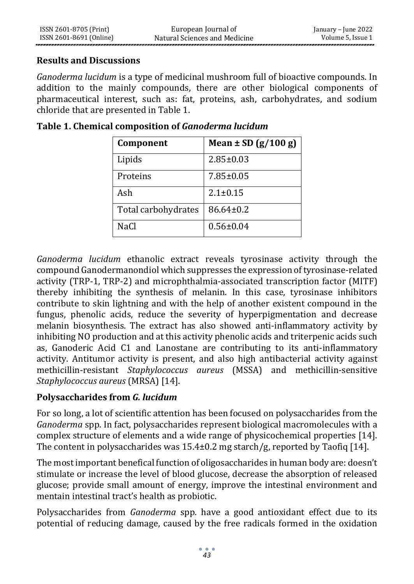#### **Results and Discussions**

*Ganoderma lucidum* is a type of medicinal mushroom full of bioactive compounds. In addition to the mainly compounds, there are other biological components of pharmaceutical interest, such as: fat, proteins, ash, carbohydrates, and sodium chloride that are presented in Table 1.

| Component           | Mean $\pm$ SD (g/100 g) |
|---------------------|-------------------------|
| Lipids              | $2.85 \pm 0.03$         |
| Proteins            | $7.85 \pm 0.05$         |
| Ash                 | $2.1 \pm 0.15$          |
| Total carbohydrates | $86.64 \pm 0.2$         |
| <b>NaCl</b>         | $0.56 \pm 0.04$         |

#### **Table 1. Chemical composition of** *Ganoderma lucidum*

*Ganoderma lucidum* ethanolic extract reveals tyrosinase activity through the compound Ganodermanondiol which suppresses the expression of tyrosinase-related activity (TRP-1, TRP-2) and microphthalmia-associated transcription factor (MITF) thereby inhibiting the synthesis of melanin. In this case, tyrosinase inhibitors contribute to skin lightning and with the help of another existent compound in the fungus, phenolic acids, reduce the severity of hyperpigmentation and decrease melanin biosynthesis. The extract has also showed anti-inflammatory activity by inhibiting NO production and at this activity phenolic acids and triterpenic acids such as, Ganoderic Acid C1 and Lanostane are contributing to its anti-inflammatory activity. Antitumor activity is present, and also high antibacterial activity against methicillin-resistant *Staphylococcus aureus* (MSSA) and methicillin-sensitive *Staphylococcus aureus* (MRSA) [14].

## **Polysaccharides from** *G. lucidum*

For so long, a lot of scientific attention has been focused on polysaccharides from the *Ganoderma* spp. In fact, polysaccharides represent biological macromolecules with a complex structure of elements and a wide range of physicochemical properties [14]. The content in polysaccharides was  $15.4\pm0.2$  mg starch/g, reported by Taofiq [14].

The most important benefical function of oligosaccharides in human body are: doesn't stimulate or increase the level of blood glucose, decrease the absorption of released glucose; provide small amount of energy, improve the intestinal environment and mentain intestinal tract's health as probiotic.

Polysaccharides from *Ganoderma* spp. have a good antioxidant effect due to its potential of reducing damage, caused by the free radicals formed in the oxidation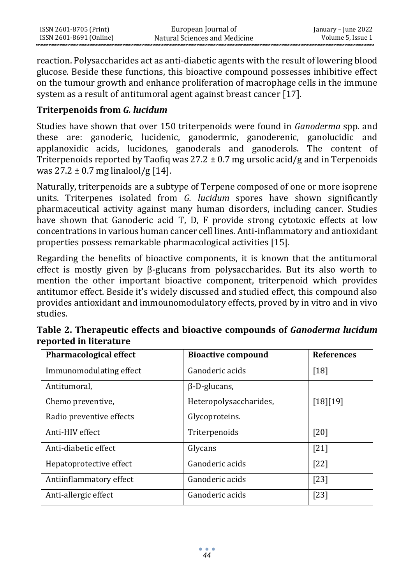| ISSN 2601-8705 (Print)  | European Journal of           | January – June 2022 |
|-------------------------|-------------------------------|---------------------|
| ISSN 2601-8691 (Online) | Natural Sciences and Medicine | Volume 5, Issue 1   |

reaction. Polysaccharides act as anti-diabetic agents with the result of lowering blood glucose. Beside these functions, this bioactive compound possesses inhibitive effect on the tumour growth and enhance proliferation of macrophage cells in the immune system as a result of antitumoral agent against breast cancer [17].

## **Triterpenoids from** *G. lucidum*

Studies have shown that over 150 triterpenoids were found in *Ganoderma* spp. and these are: ganoderic, lucidenic, ganodermic, ganoderenic, ganolucidic and applanoxidic acids, lucidones, ganoderals and ganoderols. The content of Triterpenoids reported by Taofiq was  $27.2 \pm 0.7$  mg ursolic acid/g and in Terpenoids was  $27.2 \pm 0.7$  mg linalool/g [14].

Naturally, triterpenoids are a subtype of Terpene composed of one or more isoprene units. Triterpenes isolated from *G. lucidum* spores have shown significantly pharmaceutical activity against many human disorders, including cancer. Studies have shown that Ganoderic acid T, D, F provide strong cytotoxic effects at low concentrations in various human cancer cell lines. Anti-inflammatory and antioxidant properties possess remarkable pharmacological activities [15].

Regarding the benefits of bioactive components, it is known that the antitumoral effect is mostly given by β-glucans from polysaccharides. But its also worth to mention the other important bioactive component, triterpenoid which provides antitumor effect. Beside it's widely discussed and studied effect, this compound also provides antioxidant and immounomodulatory effects, proved by in vitro and in vivo studies.

| <b>Pharmacological effect</b> | <b>Bioactive compound</b> | <b>References</b> |
|-------------------------------|---------------------------|-------------------|
| Immunomodulating effect       | Ganoderic acids           | $[18]$            |
| Antitumoral,                  | $\beta$ -D-glucans,       |                   |
| Chemo preventive,             | Heteropolysaccharides,    | [18][19]          |
| Radio preventive effects      | Glycoproteins.            |                   |
| Anti-HIV effect               | Triterpenoids             | [20]              |
| Anti-diabetic effect          | Glycans                   | $[21]$            |
| Hepatoprotective effect       | Ganoderic acids           | $[22]$            |
| Antiinflammatory effect       | Ganoderic acids           | $[23]$            |
| Anti-allergic effect          | Ganoderic acids           | $[23]$            |

**Table 2. Therapeutic effects and bioactive compounds of** *Ganoderma lucidum*  **reported in literature**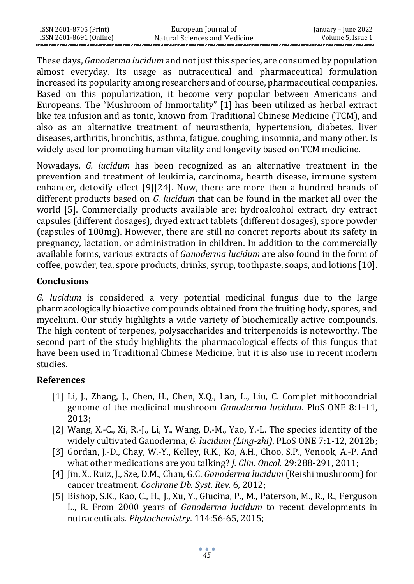| ISSN 2601-8705 (Print)  | European Journal of           | January – June 2022 |
|-------------------------|-------------------------------|---------------------|
| ISSN 2601-8691 (Online) | Natural Sciences and Medicine | Volume 5, Issue 1   |

These days, *Ganoderma lucidum* and not just this species, are consumed by population almost everyday. Its usage as nutraceutical and pharmaceutical formulation increased its popularity among researchers and of course, pharmaceutical companies. Based on this popularization, it become very popular between Americans and Europeans. The "Mushroom of Immortality" [1] has been utilized as herbal extract like tea infusion and as tonic, known from Traditional Chinese Medicine (TCM), and also as an alternative treatment of neurasthenia, hypertension, diabetes, liver diseases, arthritis, bronchitis, asthma, fatigue, coughing, insomnia, and many other. Is widely used for promoting human vitality and longevity based on TCM medicine.

Nowadays, *G. lucidum* has been recognized as an alternative treatment in the prevention and treatment of leukimia, carcinoma, hearth disease, immune system enhancer, detoxify effect [9][24]. Now, there are more then a hundred brands of different products based on *G. lucidum* that can be found in the market all over the world [5]. Commercially products available are: hydroalcohol extract, dry extract capsules (different dosages), dryed extract tablets (different dosages), spore powder (capsules of 100mg). However, there are still no concret reports about its safety in pregnancy, lactation, or administration in children. In addition to the commercially available forms, various extracts of *Ganoderma lucidum* are also found in the form of coffee, powder, tea, spore products, drinks, syrup, toothpaste, soaps, and lotions [10].

#### **Conclusions**

*G. lucidum* is considered a very potential medicinal fungus due to the large pharmacologically bioactive compounds obtained from the fruiting body, spores, and mycelium. Our study highlights a wide variety of biochemically active compounds. The high content of terpenes, polysaccharides and triterpenoids is noteworthy. The second part of the study highlights the pharmacological effects of this fungus that have been used in Traditional Chinese Medicine, but it is also use in recent modern studies.

#### **References**

- [1] Li, J., Zhang, J., Chen, H., Chen, X.Q., Lan, L., Liu, C. Complet mithocondrial genome of the medicinal mushroom *Ganoderma lucidum*. PloS ONE 8:1-11, 2013;
- [2] Wang, X.-C., Xi, R.-J., Li, Y., Wang, D.-M., Yao, Y.-L. The species identity of the widely cultivated Ganoderma, *G. lucidum (Ling-zhi)*, PLoS ONE 7:1-12, 2012b;
- [3] Gordan, J.-D., Chay, W.-Y., Kelley, R.K., Ko, A.H., Choo, S.P., Venook, A.-P. And what other medications are you talking? *J. Clin. Oncol.* 29:288-291, 2011;
- [4] Jin, X., Ruiz, J., Sze, D.M., Chan, G.C. *Ganoderma lucidum* (Reishi mushroom) for cancer treatment. *Cochrane Db. Syst. Rev.* 6, 2012;
- [5] Bishop, S.K., Kao, C., H., J., Xu, Y., Glucina, P., M., Paterson, M., R., R., Ferguson L., R. From 2000 years of *Ganoderma lucidum* to recent developments in nutraceuticals. *Phytochemistry*. 114:56-65, 2015;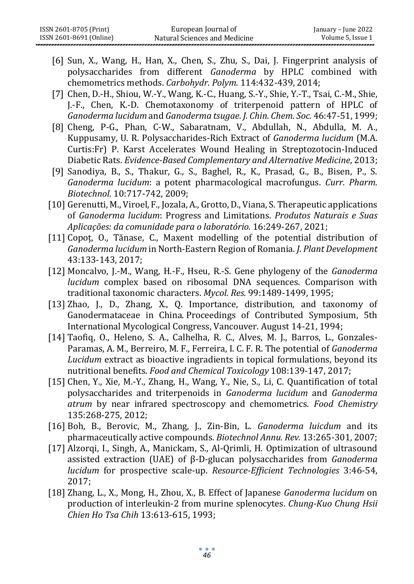- [6] Sun, X., Wang, H., Han, X., Chen, S., Zhu, S., Dai, J. Fingerprint analysis of polysaccharides from different *Ganoderma* by HPLC combined with chemometrics methods. *Carbohydr. Polym.* 114:432-439, 2014;
- [7] Chen, D.-H., Shiou, W.-Y., Wang, K.-C., Huang, S.-Y., Shie, Y.-T., Tsai, C.-M., Shie, J.-F., Chen, K.-D. Chemotaxonomy of triterpenoid pattern of HPLC of *Ganoderma lucidum* and *Ganoderma tsugae*. *J. Chin. Chem. Soc.* 46:47-51, 1999;
- [8] Cheng, P-G., Phan, C-W., Sabaratnam, V., Abdullah, N., Abdulla, M. A., Kuppusamy, U. R. Polysaccharides-Rich Extract of *Ganoderma lucidum* (M.A. Curtis:Fr) P. Karst Accelerates Wound Healing in Streptozotocin-Induced Diabetic Rats. *Evidence-Based Complementary and Alternative Medicine*, 2013;
- [9] Sanodiya, B., S., Thakur, G., S., Baghel, R., K., Prasad, G., B., Bisen, P., S. *Ganoderma lucidum*: a potent pharmacological macrofungus. *Curr. Pharm. Biotechnol.* 10:717-742, 2009;
- [10] Gerenutti, M., Viroel, F., Jozala, A., Grotto, D., Viana, S. Therapeutic applications of *Ganoderma lucidum*: Progress and Limitations*. Produtos Naturais e Suas Aplicações: da comunidade para o laboratório.* 16:249-267, 2021;
- [11] Copoț, O., Tănase, C., Maxent modelling of the potential distribution of *Ganoderma lucidum* in North-Eastern Region of Romania. *J. Plant Development*  43:133-143, 2017;
- [12] Moncalvo, J.-M., Wang, H.-F., Hseu, R.-S. Gene phylogeny of the *Ganoderma lucidum* complex based on ribosomal DNA sequences. Comparison with traditional taxonomic characters. *Mycol. Res.* 99:1489-1499, 1995;
- [13] Zhao, J., D., Zhang, X., Q. Importance, distribution, and taxonomy of Ganodermataceae in China. Proceedings of Contributed Symposium, 5th International Mycological Congress, Vancouver. August 14-21, 1994;
- [14] Taofiq, O., Heleno, S. A., Calhelha, R. C., Alves, M. J., Barros, L., Gonzales-Paramas, A. M., Berreiro, M. F., Ferreira, I. C. F. R. The potential of *Ganoderma Lucidum* extract as bioactive ingradients in topical formulations, beyond its nutritional benefits. *Food and Chemical Toxicology* 108:139-147, 2017;
- [15] Chen, Y., Xie, M.-Y., Zhang, H., Wang, Y., Nie, S., Li, C. Quantification of total polysaccharides and triterpenoids in *Ganoderma lucidum* and *Ganoderma atrum* by near infrared spectroscopy and chemometrics. *Food Chemistry*  135:268-275, 2012;
- [16] Boh, B., Berovic, M., Zhang, J., Zin-Bin, L. *Ganoderma luicdum* and its pharmaceutically active compounds. *Biotechnol Annu. Rev.* 13:265-301, 2007;
- [17] Alzorqi, I., Singh, A., Manickam, S., Al-Qrimli, H. Optimization of ultrasound assisted extraction (UAE) of β-D-glucan polysaccharides from *Ganoderma lucidum* for prospective scale-up. *Resource-Efficient Technologies* 3:46-54, 2017;
- [18] Zhang, L., X., Mong, H., Zhou, X., B. Effect of Japanese *Ganoderma lucidum* on production of interleukin-2 from murine splenocytes. *Chung-Kuo Chung Hsii Chien Ho Tsa Chih* 13:613-615, 1993;